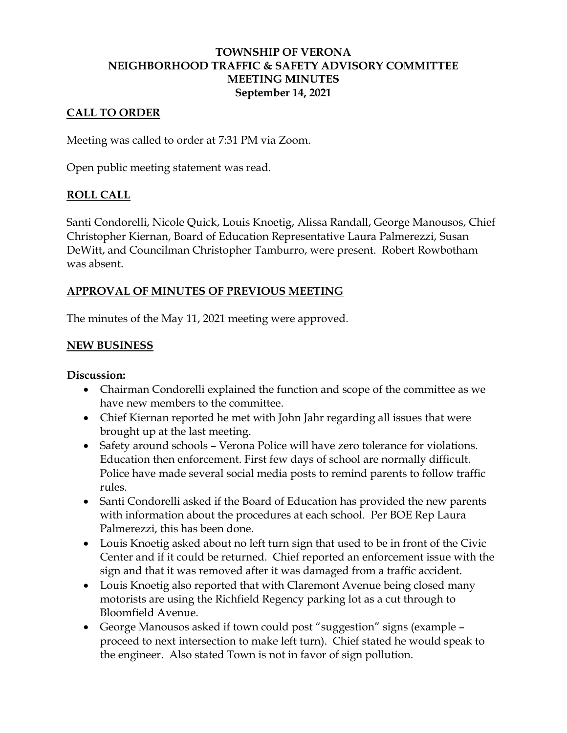## **TOWNSHIP OF VERONA NEIGHBORHOOD TRAFFIC & SAFETY ADVISORY COMMITTEE MEETING MINUTES September 14, 2021**

## **CALL TO ORDER**

Meeting was called to order at 7:31 PM via Zoom.

Open public meeting statement was read.

### **ROLL CALL**

Santi Condorelli, Nicole Quick, Louis Knoetig, Alissa Randall, George Manousos, Chief Christopher Kiernan, Board of Education Representative Laura Palmerezzi, Susan DeWitt, and Councilman Christopher Tamburro, were present. Robert Rowbotham was absent.

### **APPROVAL OF MINUTES OF PREVIOUS MEETING**

The minutes of the May 11, 2021 meeting were approved.

### **NEW BUSINESS**

#### **Discussion:**

- Chairman Condorelli explained the function and scope of the committee as we have new members to the committee.
- Chief Kiernan reported he met with John Jahr regarding all issues that were brought up at the last meeting.
- Safety around schools Verona Police will have zero tolerance for violations. Education then enforcement. First few days of school are normally difficult. Police have made several social media posts to remind parents to follow traffic rules.
- Santi Condorelli asked if the Board of Education has provided the new parents with information about the procedures at each school. Per BOE Rep Laura Palmerezzi, this has been done.
- Louis Knoetig asked about no left turn sign that used to be in front of the Civic Center and if it could be returned. Chief reported an enforcement issue with the sign and that it was removed after it was damaged from a traffic accident.
- Louis Knoetig also reported that with Claremont Avenue being closed many motorists are using the Richfield Regency parking lot as a cut through to Bloomfield Avenue.
- George Manousos asked if town could post "suggestion" signs (example proceed to next intersection to make left turn). Chief stated he would speak to the engineer. Also stated Town is not in favor of sign pollution.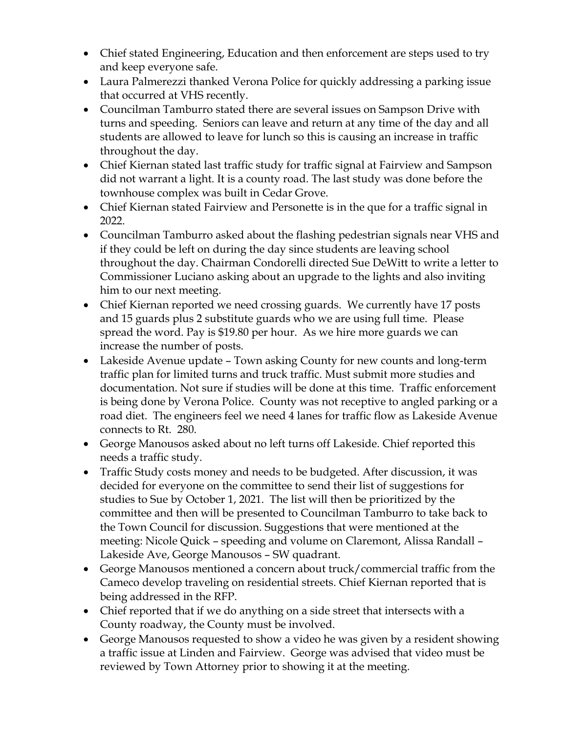- Chief stated Engineering, Education and then enforcement are steps used to try and keep everyone safe.
- Laura Palmerezzi thanked Verona Police for quickly addressing a parking issue that occurred at VHS recently.
- Councilman Tamburro stated there are several issues on Sampson Drive with turns and speeding. Seniors can leave and return at any time of the day and all students are allowed to leave for lunch so this is causing an increase in traffic throughout the day.
- Chief Kiernan stated last traffic study for traffic signal at Fairview and Sampson did not warrant a light. It is a county road. The last study was done before the townhouse complex was built in Cedar Grove.
- Chief Kiernan stated Fairview and Personette is in the que for a traffic signal in 2022.
- Councilman Tamburro asked about the flashing pedestrian signals near VHS and if they could be left on during the day since students are leaving school throughout the day. Chairman Condorelli directed Sue DeWitt to write a letter to Commissioner Luciano asking about an upgrade to the lights and also inviting him to our next meeting.
- Chief Kiernan reported we need crossing guards. We currently have 17 posts and 15 guards plus 2 substitute guards who we are using full time. Please spread the word. Pay is \$19.80 per hour. As we hire more guards we can increase the number of posts.
- Lakeside Avenue update Town asking County for new counts and long-term traffic plan for limited turns and truck traffic. Must submit more studies and documentation. Not sure if studies will be done at this time. Traffic enforcement is being done by Verona Police. County was not receptive to angled parking or a road diet. The engineers feel we need 4 lanes for traffic flow as Lakeside Avenue connects to Rt. 280.
- George Manousos asked about no left turns off Lakeside. Chief reported this needs a traffic study.
- Traffic Study costs money and needs to be budgeted. After discussion, it was decided for everyone on the committee to send their list of suggestions for studies to Sue by October 1, 2021. The list will then be prioritized by the committee and then will be presented to Councilman Tamburro to take back to the Town Council for discussion. Suggestions that were mentioned at the meeting: Nicole Quick – speeding and volume on Claremont, Alissa Randall – Lakeside Ave, George Manousos – SW quadrant.
- George Manousos mentioned a concern about truck/commercial traffic from the Cameco develop traveling on residential streets. Chief Kiernan reported that is being addressed in the RFP.
- Chief reported that if we do anything on a side street that intersects with a County roadway, the County must be involved.
- George Manousos requested to show a video he was given by a resident showing a traffic issue at Linden and Fairview. George was advised that video must be reviewed by Town Attorney prior to showing it at the meeting.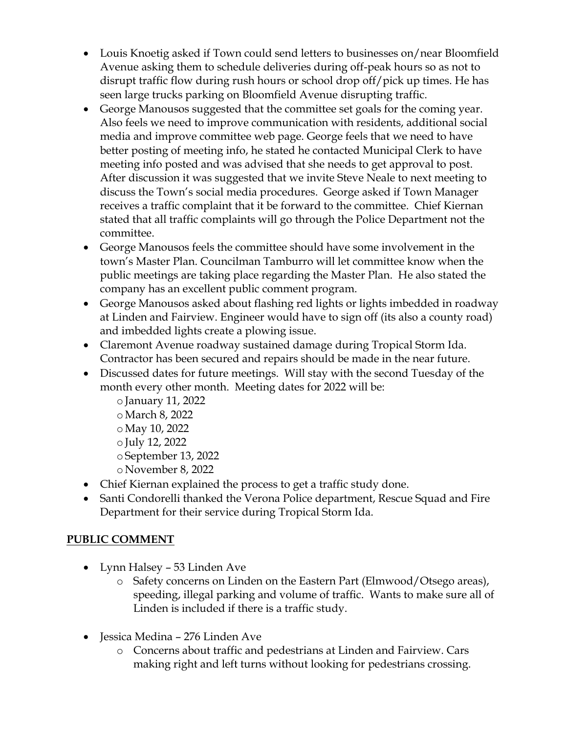- Louis Knoetig asked if Town could send letters to businesses on/near Bloomfield Avenue asking them to schedule deliveries during off-peak hours so as not to disrupt traffic flow during rush hours or school drop off/pick up times. He has seen large trucks parking on Bloomfield Avenue disrupting traffic.
- George Manousos suggested that the committee set goals for the coming year. Also feels we need to improve communication with residents, additional social media and improve committee web page. George feels that we need to have better posting of meeting info, he stated he contacted Municipal Clerk to have meeting info posted and was advised that she needs to get approval to post. After discussion it was suggested that we invite Steve Neale to next meeting to discuss the Town's social media procedures. George asked if Town Manager receives a traffic complaint that it be forward to the committee. Chief Kiernan stated that all traffic complaints will go through the Police Department not the committee.
- George Manousos feels the committee should have some involvement in the town's Master Plan. Councilman Tamburro will let committee know when the public meetings are taking place regarding the Master Plan. He also stated the company has an excellent public comment program.
- George Manousos asked about flashing red lights or lights imbedded in roadway at Linden and Fairview. Engineer would have to sign off (its also a county road) and imbedded lights create a plowing issue.
- Claremont Avenue roadway sustained damage during Tropical Storm Ida. Contractor has been secured and repairs should be made in the near future.
- Discussed dates for future meetings. Will stay with the second Tuesday of the month every other month. Meeting dates for 2022 will be:
	- o January 11, 2022 oMarch 8, 2022 oMay 10, 2022 o July 12, 2022 o September 13, 2022 o November 8, 2022
- Chief Kiernan explained the process to get a traffic study done.
- Santi Condorelli thanked the Verona Police department, Rescue Squad and Fire Department for their service during Tropical Storm Ida.

# **PUBLIC COMMENT**

- Lynn Halsey 53 Linden Ave
	- o Safety concerns on Linden on the Eastern Part (Elmwood/Otsego areas), speeding, illegal parking and volume of traffic. Wants to make sure all of Linden is included if there is a traffic study.
- Jessica Medina 276 Linden Ave
	- o Concerns about traffic and pedestrians at Linden and Fairview. Cars making right and left turns without looking for pedestrians crossing.